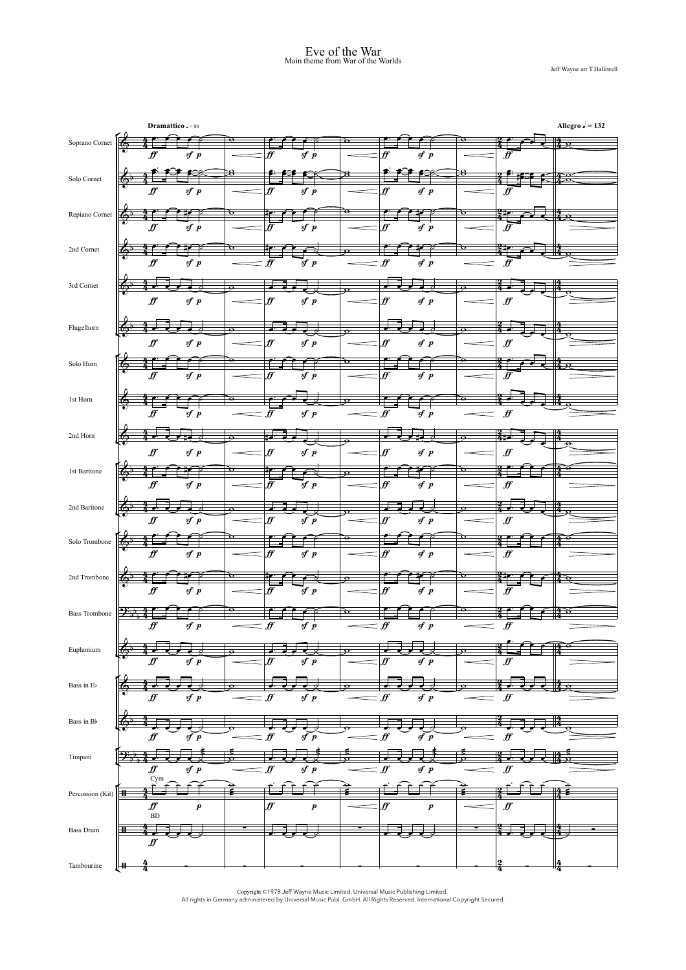|                      | Dramattico J = 80         |                                    |                           |   |                          |                                        |                  |                           |                     |                      |                                      | Allegro $J = 132$ |
|----------------------|---------------------------|------------------------------------|---------------------------|---|--------------------------|----------------------------------------|------------------|---------------------------|---------------------|----------------------|--------------------------------------|-------------------|
| Soprano Cornet       |                           | $f\hspace{-0.1cm}f$                | sf p                      |   | ∯                        | $sf$ $p$                               |                  | f f                       | $sf$ $p$            |                      | ff                                   | <u>o</u>          |
| Solo Cornet          |                           | $f\hspace{-0.1cm}f$                | of $p$                    |   | f f                      | of $\boldsymbol{p}$                    |                  | $f\hspace{-0.1cm}f$       | $\it{sf}$ $\it{p}$  |                      | ∯                                    | 40                |
| Repiano Cornet       | $\bullet$                 | $f\hspace{-0.1cm}f$                | of $p$                    | ò | ff                       | $sf$ $p$                               |                  | f f                       | te.<br>$sf\ p$      | ò                    | ∯                                    |                   |
| 2nd Cornet           |                           |                                    |                           | ò |                          |                                        |                  |                           |                     | Ò                    |                                      |                   |
| 3rd Cornet           |                           | $f\hspace{-0.1cm}f$                | sf p                      |   | ff                       | $\overline{\mathcal{F}}$ $\mathcal{P}$ |                  | $f\hspace{-0.1cm}f$       | sf p                |                      | f f                                  |                   |
|                      |                           | $f\hspace{-0.1cm}f$                | of $p$                    |   | ∯                        | of $\boldsymbol{p}$                    |                  | $f\hspace{-0.1cm}f$       | $sf$ $p$            |                      | $f\hspace{-0.8mm}f$                  |                   |
| Flugelhorn           |                           | $f\hspace{-0.1cm}f$                | $\mathbf{s} f \mathbf{p}$ |   | $f\hspace{-0.1cm}f$      | of $\boldsymbol{p}$                    |                  | ø.<br>∯                   | $sf$ $p$            | $\overline{\bullet}$ | $f\hspace{-0.8mm}f$                  |                   |
| Solo Horn            | ⊕                         | $f\hspace{-0.1cm}f$                | of $p$                    |   | ff                       | of $p$                                 | ò                | f f                       | $sf$ $p$            |                      | ∯                                    |                   |
| 1st Horn             | $\circ$                   | ff                                 | sf p                      |   | ∯                        | of $\boldsymbol{p}$                    |                  | $f\hspace{-0.1cm}f$       | $sf$ $p$            |                      | $f\hspace{-0.8mm}f$                  |                   |
| 2nd Horn             |                           | $f\hspace{-0.1cm}f$                | sf p                      |   | $f\hspace{-0.1cm}f$      | of $\boldsymbol{p}$                    |                  | ø.<br>$f\hspace{-0.1cm}f$ | $\it{sf}$ $\it{p}$  |                      | $\frac{2}{4}$<br>$f\hspace{-0.8mm}f$ |                   |
| 1st Baritone         |                           | $f\hspace{-0.1cm}f$                | of $p$                    |   | ff                       | sf p                                   |                  | $f\hspace{-0.1cm}f$       | sf p                | ਨ                    | $f\hspace{-0.1cm}f$                  |                   |
| 2nd Baritone         |                           | f f                                | of $\boldsymbol{p}$       |   | ◢<br>$f\hspace{-0.1cm}f$ | $\overline{sf}$ $\overline{p}$         |                  | J<br>$f\hspace{-0.1cm}f$  | $\it{sf}$ $\it{p}$  |                      | $f\hspace{-0.1cm}f$                  |                   |
| Solo Trombone        |                           | f f                                |                           |   | f f                      |                                        |                  | $f\hspace{-0.1cm}f$       |                     |                      | $\frac{2}{4}$                        |                   |
| 2nd Trombone         | $\Phi$                    |                                    | of $\boldsymbol{p}$       | ò | Ŧ۴                       | of $p$                                 | $\mathbf \sigma$ |                           | $\it{sf}$ $\it{p}$  | ò                    | $f\hspace{-0.8mm}f$                  |                   |
| <b>Bass Trombone</b> | $\mathfrak{P}_\mathbb{M}$ | ∯                                  | of $\boldsymbol{p}$       |   | ff                       | $sf$ $p$                               | ò                | ∯                         | of $\boldsymbol{p}$ |                      | f f                                  | ⊃ত                |
| Euphonium            |                           | $f\hspace{-0.1cm}f$                | sf p                      |   | f f                      | $sf$ $p$                               |                  | $f\hspace{-0.1cm}f$       | $\it{sf}$ $\it{p}$  |                      | $f\hspace{-0.8mm}f$                  |                   |
| Bass in Eb           |                           | ∯                                  | $\int p$                  |   | f f                      | of $\boldsymbol{p}$                    |                  | f f                       | $\it{sf}$ $\it{p}$  |                      | ℋ                                    |                   |
|                      |                           | f f                                | $sf$ $p$                  |   | f f                      | of $\boldsymbol{p}$                    |                  | f f                       | $sf$ $p$            |                      | f f                                  |                   |
| Bass in Bb           |                           | f f                                | $\mathbf{s} f \mathbf{p}$ |   | f f                      | $\overline{sf}$ $\overline{p}$         |                  | f f                       | $sf$ $p$            |                      | $f\hspace{-0.8mm}f$                  |                   |
| Timpani              |                           | $f\hspace{-0.1cm}f$<br>$\lim_{*}$  | of $p$                    |   | $f\hspace{-0.1cm}f$      | of $\boldsymbol{p}$                    |                  | f f                       | $\it{sf}$ $\it{p}$  |                      | f f                                  |                   |
| Percussion (Kit)     | Ŧ                         | $f\hspace{-0.1cm}f$<br>$_{\rm BD}$ | $\pmb{p}$                 |   | $f\hspace{-0.1cm}f$      | $\pmb{p}$                              |                  | $f\hspace{-0.1cm}f$       | $\pmb{p}$           |                      | $f\hspace{-0.8mm}f$                  | s                 |
| <b>Bass Drum</b>     | ᆂ                         | $f\hspace{-0.1cm}f$                |                           |   |                          |                                        |                  |                           |                     |                      |                                      |                   |
| Tambourine           | HН                        | 4                                  |                           |   |                          |                                        |                  |                           |                     |                      | 2<br>4                               | $\frac{4}{4}$     |

Copyright ©1978 Jeff Wayne Music Limited. Universal Music Publishing Limited.<br>All rights in Germany administered by Universal Music Publ. GmbH. All Rights Reserved. International Copyright Secured.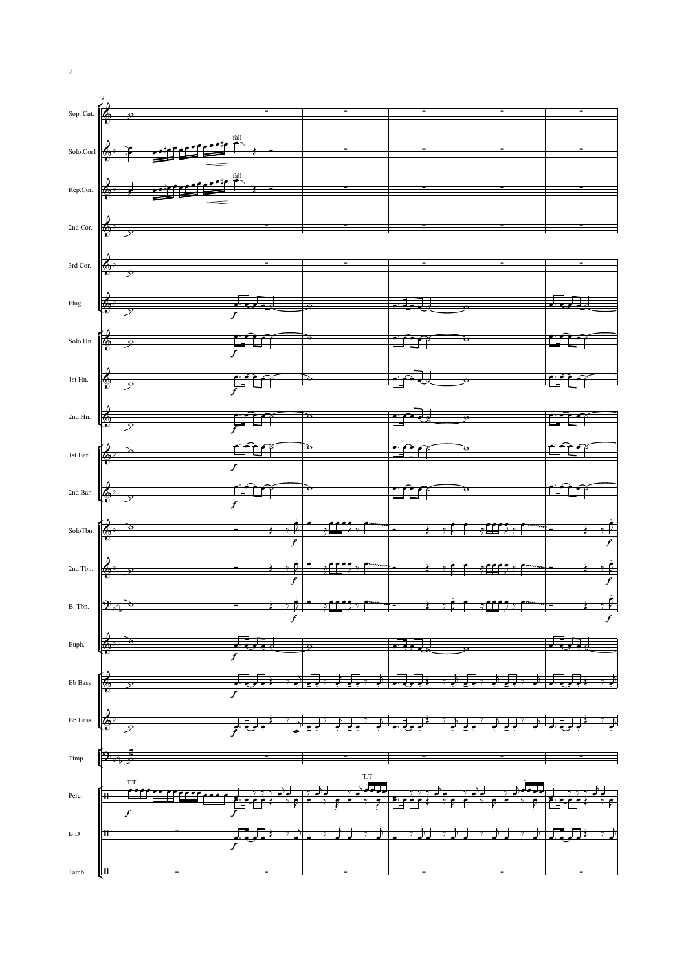